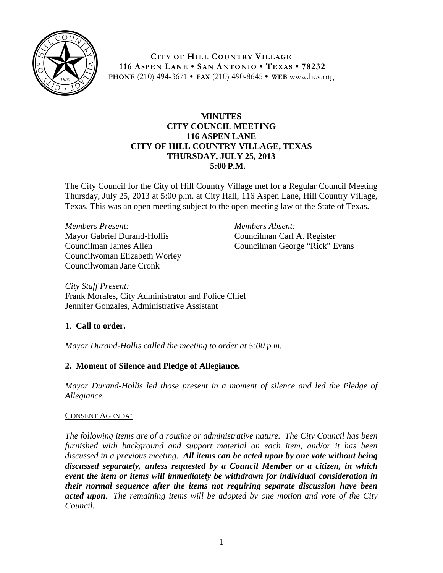

**CITY OF HILL COUNTRY VILLAGE 116 ASPEN LANE • SAN ANTONIO • TEXAS • 78232 PHONE** (210) 494-3671 **• FAX** (210) 490-8645 **• WEB** www.hcv.org

### **MINUTES CITY COUNCIL MEETING 116 ASPEN LANE CITY OF HILL COUNTRY VILLAGE, TEXAS THURSDAY, JULY 25, 2013 5:00 P.M.**

The City Council for the City of Hill Country Village met for a Regular Council Meeting Thursday, July 25, 2013 at 5:00 p.m. at City Hall, 116 Aspen Lane, Hill Country Village, Texas. This was an open meeting subject to the open meeting law of the State of Texas.

*Members Present:* Mayor Gabriel Durand-Hollis Councilman James Allen Councilwoman Elizabeth Worley Councilwoman Jane Cronk

*Members Absent:* Councilman Carl A. Register Councilman George "Rick" Evans

*City Staff Present:* Frank Morales, City Administrator and Police Chief Jennifer Gonzales, Administrative Assistant

# 1. **Call to order.**

*Mayor Durand-Hollis called the meeting to order at 5:00 p.m.*

# **2. Moment of Silence and Pledge of Allegiance.**

*Mayor Durand-Hollis led those present in a moment of silence and led the Pledge of Allegiance.*

#### CONSENT AGENDA:

*The following items are of a routine or administrative nature. The City Council has been furnished with background and support material on each item, and/or it has been discussed in a previous meeting. All items can be acted upon by one vote without being discussed separately, unless requested by a Council Member or a citizen, in which event the item or items will immediately be withdrawn for individual consideration in their normal sequence after the items not requiring separate discussion have been acted upon. The remaining items will be adopted by one motion and vote of the City Council.*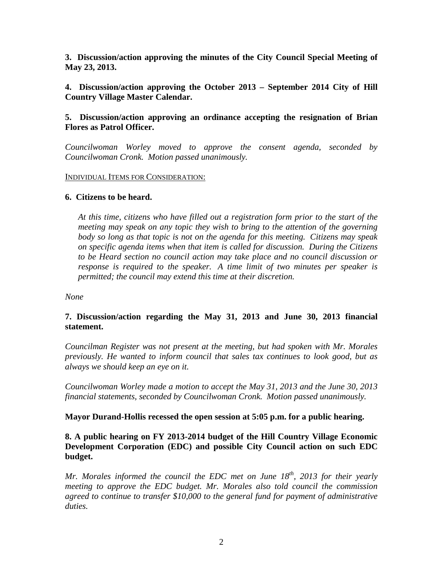**3. Discussion/action approving the minutes of the City Council Special Meeting of May 23, 2013.**

**4. Discussion/action approving the October 2013 – September 2014 City of Hill Country Village Master Calendar.**

### **5. Discussion/action approving an ordinance accepting the resignation of Brian Flores as Patrol Officer.**

*Councilwoman Worley moved to approve the consent agenda, seconded by Councilwoman Cronk. Motion passed unanimously.*

#### INDIVIDUAL ITEMS FOR CONSIDERATION:

#### **6. Citizens to be heard.**

*At this time, citizens who have filled out a registration form prior to the start of the meeting may speak on any topic they wish to bring to the attention of the governing body so long as that topic is not on the agenda for this meeting. Citizens may speak on specific agenda items when that item is called for discussion. During the Citizens to be Heard section no council action may take place and no council discussion or response is required to the speaker. A time limit of two minutes per speaker is permitted; the council may extend this time at their discretion.*

*None*

# **7. Discussion/action regarding the May 31, 2013 and June 30, 2013 financial statement.**

*Councilman Register was not present at the meeting, but had spoken with Mr. Morales previously. He wanted to inform council that sales tax continues to look good, but as always we should keep an eye on it.*

*Councilwoman Worley made a motion to accept the May 31, 2013 and the June 30, 2013 financial statements, seconded by Councilwoman Cronk. Motion passed unanimously.*

#### **Mayor Durand-Hollis recessed the open session at 5:05 p.m. for a public hearing.**

### **8. A public hearing on FY 2013-2014 budget of the Hill Country Village Economic Development Corporation (EDC) and possible City Council action on such EDC budget.**

*Mr. Morales informed the council the EDC met on June 18th, 2013 for their yearly meeting to approve the EDC budget. Mr. Morales also told council the commission agreed to continue to transfer \$10,000 to the general fund for payment of administrative duties.*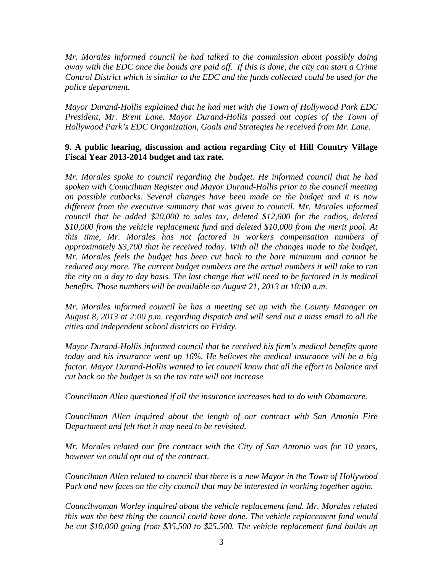*Mr. Morales informed council he had talked to the commission about possibly doing away with the EDC once the bonds are paid off. If this is done, the city can start a Crime Control District which is similar to the EDC and the funds collected could be used for the police department.* 

*Mayor Durand-Hollis explained that he had met with the Town of Hollywood Park EDC President, Mr. Brent Lane. Mayor Durand-Hollis passed out copies of the Town of Hollywood Park's EDC Organization, Goals and Strategies he received from Mr. Lane.* 

# **9. A public hearing, discussion and action regarding City of Hill Country Village Fiscal Year 2013-2014 budget and tax rate.**

*Mr. Morales spoke to council regarding the budget. He informed council that he had spoken with Councilman Register and Mayor Durand-Hollis prior to the council meeting on possible cutbacks. Several changes have been made on the budget and it is now different from the executive summary that was given to council. Mr. Morales informed council that he added \$20,000 to sales tax, deleted \$12,600 for the radios, deleted \$10,000 from the vehicle replacement fund and deleted \$10,000 from the merit pool. At this time, Mr. Morales has not factored in workers compensation numbers of approximately \$3,700 that he received today. With all the changes made to the budget, Mr. Morales feels the budget has been cut back to the bare minimum and cannot be reduced any more. The current budget numbers are the actual numbers it will take to run the city on a day to day basis. The last change that will need to be factored in is medical benefits. Those numbers will be available on August 21, 2013 at 10:00 a.m.* 

*Mr. Morales informed council he has a meeting set up with the County Manager on August 8, 2013 at 2:00 p.m. regarding dispatch and will send out a mass email to all the cities and independent school districts on Friday.*

*Mayor Durand-Hollis informed council that he received his firm's medical benefits quote today and his insurance went up 16%. He believes the medical insurance will be a big factor. Mayor Durand-Hollis wanted to let council know that all the effort to balance and cut back on the budget is so the tax rate will not increase.*

*Councilman Allen questioned if all the insurance increases had to do with Obamacare.* 

*Councilman Allen inquired about the length of our contract with San Antonio Fire Department and felt that it may need to be revisited.* 

*Mr. Morales related our fire contract with the City of San Antonio was for 10 years, however we could opt out of the contract.*

*Councilman Allen related to council that there is a new Mayor in the Town of Hollywood Park and new faces on the city council that may be interested in working together again.* 

*Councilwoman Worley inquired about the vehicle replacement fund. Mr. Morales related this was the best thing the council could have done. The vehicle replacement fund would be cut \$10,000 going from \$35,500 to \$25,500. The vehicle replacement fund builds up*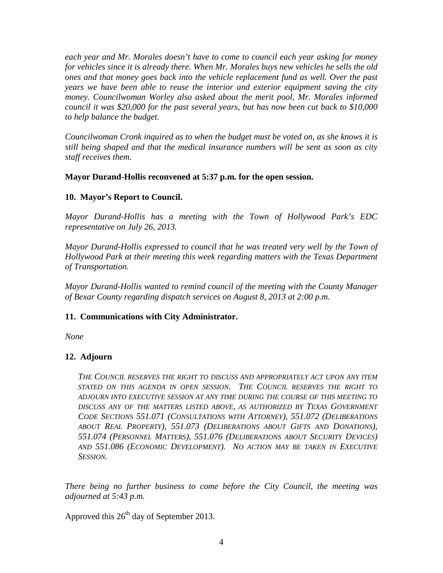*each year and Mr. Morales doesn't have to come to council each year asking for money for vehicles since it is already there. When Mr. Morales buys new vehicles he sells the old ones and that money goes back into the vehicle replacement fund as well. Over the past years we have been able to reuse the interior and exterior equipment saving the city money. Councilwoman Worley also asked about the merit pool, Mr. Morales informed council it was \$20,000 for the past several years, but has now been cut back to \$10,000 to help balance the budget.*

*Councilwoman Cronk inquired as to when the budget must be voted on, as she knows it is still being shaped and that the medical insurance numbers will be sent as soon as city staff receives them.* 

**Mayor Durand-Hollis reconvened at 5:37 p.m. for the open session.** 

# **10. Mayor's Report to Council.**

*Mayor Durand-Hollis has a meeting with the Town of Hollywood Park's EDC representative on July 26, 2013.*

*Mayor Durand-Hollis expressed to council that he was treated very well by the Town of Hollywood Park at their meeting this week regarding matters with the Texas Department of Transportation.*

*Mayor Durand-Hollis wanted to remind council of the meeting with the County Manager of Bexar County regarding dispatch services on August 8, 2013 at 2:00 p.m.*

# **11. Communications with City Administrator.**

*None*

# **12. Adjourn**

*THE COUNCIL RESERVES THE RIGHT TO DISCUSS AND APPROPRIATELY ACT UPON ANY ITEM STATED ON THIS AGENDA IN OPEN SESSION. THE COUNCIL RESERVES THE RIGHT TO ADJOURN INTO EXECUTIVE SESSION AT ANY TIME DURING THE COURSE OF THIS MEETING TO DISCUSS ANY OF THE MATTERS LISTED ABOVE, AS AUTHORIZED BY TEXAS GOVERNMENT CODE SECTIONS 551.071 (CONSULTATIONS WITH ATTORNEY), 551.072 (DELIBERATIONS ABOUT REAL PROPERTY), 551.073 (DELIBERATIONS ABOUT GIFTS AND DONATIONS), 551.074 (PERSONNEL MATTERS), 551.076 (DELIBERATIONS ABOUT SECURITY DEVICES) AND 551.086 (ECONOMIC DEVELOPMENT). NO ACTION MAY BE TAKEN IN EXECUTIVE SESSION.*

*There being no further business to come before the City Council, the meeting was adjourned at 5:43 p.m.*

Approved this  $26<sup>th</sup>$  day of September 2013.